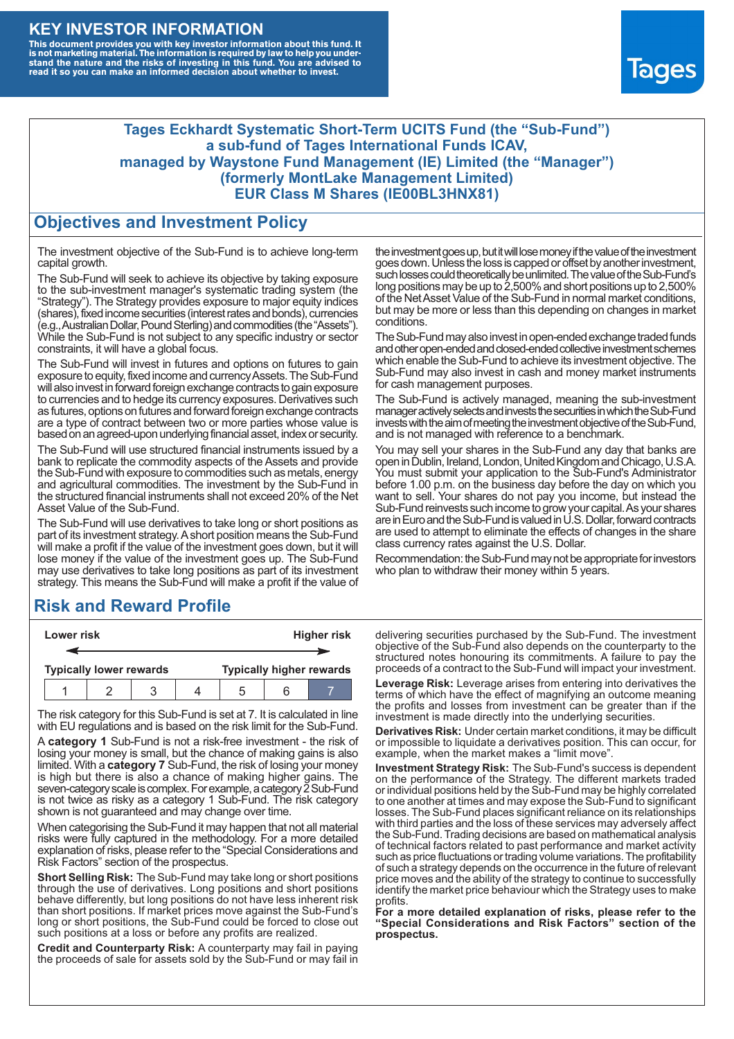### **KEY INVESTOR INFORMATION**

This document provides you with key investor information about this fund. It<br>is not marketing material. The information is required by law to help you under-<br>stand the nature and the risks of investing in this fund. You ar



#### **Tages Eckhardt Systematic Short-Term UCITS Fund (the "Sub-Fund") a sub-fund of Tages International Funds ICAV, managed by Waystone Fund Management (IE) Limited (the "Manager") (formerly MontLake Management Limited) EUR Class M Shares (IE00BL3HNX81)**

#### **Objectives and Investment Policy**

The investment objective of the Sub-Fund is to achieve long-term capital growth.

The Sub-Fund will seek to achieve its objective by taking exposure to the sub-investment manager's systematic trading system (the "Strategy"). The Strategy provides exposure to major equity indices (shares),fixed income securities (interest rates and bonds), currencies (e.g.,AustralianDollar,PoundSterling)and commodities (the "Assets"). While the Sub-Fund is not subject to any specific industry or sector constraints, it will have a global focus.

The Sub-Fund will invest in futures and options on futures to gain exposure to equity, fixed income and currency Assets. The Sub-Fund will also invest in forward foreign exchange contracts to gain exposure to currencies and to hedge its currency exposures. Derivatives such as futures, options on futures and forward foreign exchange contracts are a type of contract between two or more parties whose value is based on an agreed-upon underlying financial asset, index or security.

The Sub-Fund will use structured financial instruments issued by a bank to replicate the commodity aspects of the Assets and provide the Sub-Fund with exposure to commodities such as metals, energy and agricultural commodities. The investment by the Sub-Fund in the structured financial instruments shall not exceed 20% of the Net Asset Value of the Sub-Fund.

The Sub-Fund will use derivatives to take long or short positions as part of its investment strategy.A short position means the Sub-Fund will make a profit if the value of the investment goes down, but it will lose money if the value of the investment goes up. The Sub-Fund may use derivatives to take long positions as part of its investment strategy. This means the Sub-Fund will make a profit if the value of

# **Risk and Reward Profile**

| Lower risk                     |  |  |  | <b>Higher risk</b>              |  |  |
|--------------------------------|--|--|--|---------------------------------|--|--|
|                                |  |  |  |                                 |  |  |
| <b>Typically lower rewards</b> |  |  |  | <b>Typically higher rewards</b> |  |  |
|                                |  |  |  | .5                              |  |  |

The risk category for this Sub-Fund is set at 7. It is calculated in line with EU regulations and is based on the risk limit for the Sub-Fund.

A **category 1** Sub-Fund is not a risk-free investment - the risk of losing your money is small, but the chance of making gains is also limited. With a **category 7** Sub-Fund, the risk of losing your money is high but there is also a chance of making higher gains. The seven-category scale is complex. For example, a category 2 Sub-Fund is not twice as risky as a category 1 Sub-Fund. The risk category shown is not guaranteed and may change over time.

When categorising the Sub-Fund it may happen that not all material risks were fully captured in the methodology. For a more detailed explanation of risks, please refer to the "Special Considerations and Risk Factors" section of the prospectus.

**Short Selling Risk:** The Sub-Fund may take long or short positions through the use of derivatives. Long positions and short positions behave differently, but long positions do not have less inherent risk than short positions. If market prices move against the Sub-Fund's long or short positions, the Sub-Fund could be forced to close out such positions at a loss or before any profits are realized.

**Credit and Counterparty Risk:** A counterparty may fail in paying the proceeds of sale for assets sold by the Sub-Fund or may fail in the investment goes up, but it will lose money if the value of the investment goes down. Unlessthe loss is capped or offset by another investment, such losses could theoretically be unlimited. The value of the Sub-Fund's long positions may be up to  $2,500\%$  and short positions up to  $2,500\%$ of the NetAsset Value of the Sub-Fund in normal market conditions, but may be more or less than this depending on changes in market conditions.

The Sub-Fund may also invest in open-ended exchange traded funds and other open-ended and closed-ended collective investment schemes which enable the Sub-Fund to achieve its investment objective. The Sub-Fund may also invest in cash and money market instruments for cash management purposes.

The Sub-Fund is actively managed, meaning the sub-investment manager actively selects and invests the securities in which the Sub-Fund invests with the aim of meeting the investment objective of the Sub-Fund, and is not managed with reference to a benchmark.

You may sell your shares in the Sub-Fund any day that banks are open in Dublin, Ireland, London, United Kingdom and Chicago, U.S.A. You must submit your application to the Sub-Fund's Administrator before 1.00 p.m. on the business day before the day on which you want to sell. Your shares do not pay you income, but instead the Sub-Fund reinvests such income to grow your capital. As your shares are in Euro and the Sub-Fund is valued in U.S. Dollar, forward contracts are used to attempt to eliminate the effects of changes in the share class currency rates against the U.S. Dollar.

Recommendation: the Sub-Fund may not be appropriate for investors who plan to withdraw their money within 5 years.

delivering securities purchased by the Sub-Fund. The investment objective of the Sub-Fund also depends on the counterparty to the structured notes honouring its commitments. A failure to pay the proceeds of a contract to the Sub-Fund will impact your investment.

**Leverage Risk:** Leverage arises from entering into derivatives the terms of which have the effect of magnifying an outcome meaning the profits and losses from investment can be greater than if the investment is made directly into the underlying securities.

**Derivatives Risk:** Under certain market conditions, it may be difficult or impossible to liquidate a derivatives position. This can occur, for example, when the market makes a "limit move".

**Investment Strategy Risk:** The Sub-Fund's success is dependent on the performance of the Strategy. The different markets traded or individual positions held by the Sub-Fund may be highly correlated to one another at times and may expose the Sub-Fund to significant losses. The Sub-Fund places significant reliance on its relationships with third parties and the loss of these services may adversely affect the Sub-Fund. Trading decisions are based on mathematical analysis of technical factors related to past performance and market activity such as price fluctuations or trading volume variations. The profitability of such a strategy depends on the occurrence in the future of relevant price moves and the ability of the strategy to continue to successfully identify the market price behaviour which the Strategy uses to make profits.

**For a more detailed explanation of risks, please refer to the "Special Considerations and Risk Factors" section of the prospectus.**